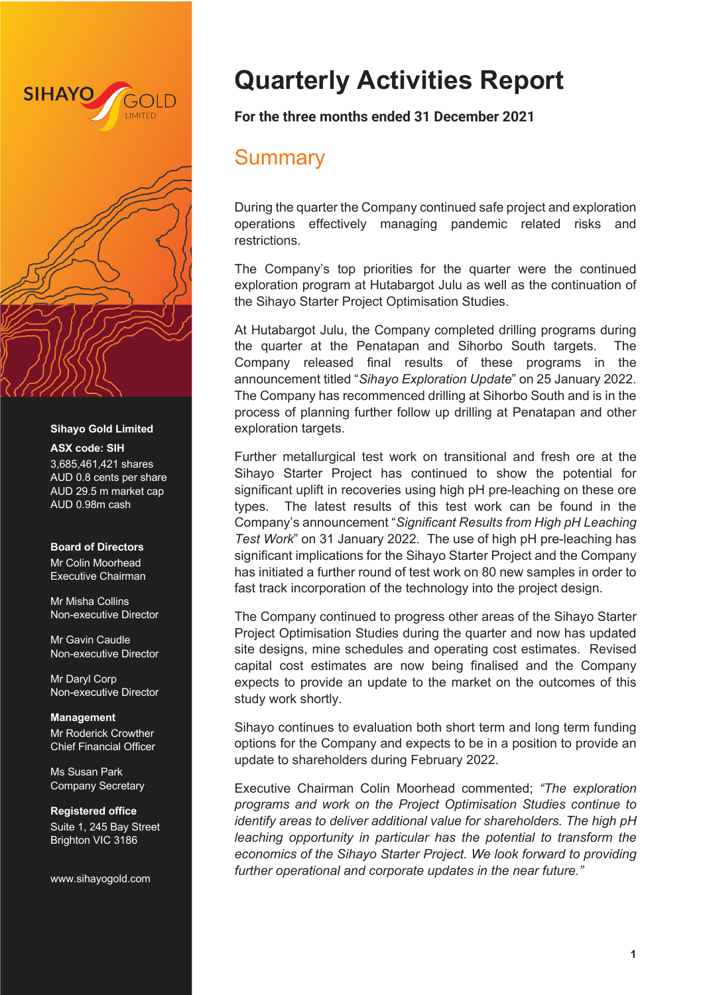

#### **Sihayo Gold Limited**

#### **ASX code: SIH**

3,685,461,421 shares AUD 0.8 cents per share AUD 29.5 m market cap AUD 0.98m cash

#### **Board of Directors**

Mr Colin Moorhead Executive Chairman

Mr Misha Collins Non-executive Director

Mr Gavin Caudle Non-executive Director

Mr Daryl Corp Non-executive Director

**Management** Mr Roderick Crowther Chief Financial Officer

Ms Susan Park Company Secretary

**Registered office** Suite 1, 245 Bay Street Brighton VIC 3186

www.sihayogold.com

# **Quarterly Activities Report**

**For the three months ended 31 December 2021**

## **Summary**

During the quarter the Company continued safe project and exploration operations effectively managing pandemic related risks and restrictions.

The Company's top priorities for the quarter were the continued exploration program at Hutabargot Julu as well as the continuation of the Sihayo Starter Project Optimisation Studies.

At Hutabargot Julu, the Company completed drilling programs during the quarter at the Penatapan and Sihorbo South targets. The Company released final results of these programs in the announcement titled "*Sihayo Exploration Update*" on 25 January 2022. The Company has recommenced drilling at Sihorbo South and is in the process of planning further follow up drilling at Penatapan and other exploration targets.

Further metallurgical test work on transitional and fresh ore at the Sihayo Starter Project has continued to show the potential for significant uplift in recoveries using high pH pre-leaching on these ore types. The latest results of this test work can be found in the Company's announcement "*Significant Results from High pH Leaching Test Work*" on 31 January 2022. The use of high pH pre-leaching has significant implications for the Sihayo Starter Project and the Company has initiated a further round of test work on 80 new samples in order to fast track incorporation of the technology into the project design.

The Company continued to progress other areas of the Sihayo Starter Project Optimisation Studies during the quarter and now has updated site designs, mine schedules and operating cost estimates. Revised capital cost estimates are now being finalised and the Company expects to provide an update to the market on the outcomes of this study work shortly.

Sihayo continues to evaluation both short term and long term funding options for the Company and expects to be in a position to provide an update to shareholders during February 2022.

Executive Chairman Colin Moorhead commented; *"The exploration programs and work on the Project Optimisation Studies continue to identify areas to deliver additional value for shareholders. The high pH leaching opportunity in particular has the potential to transform the economics of the Sihayo Starter Project. We look forward to providing further operational and corporate updates in the near future."*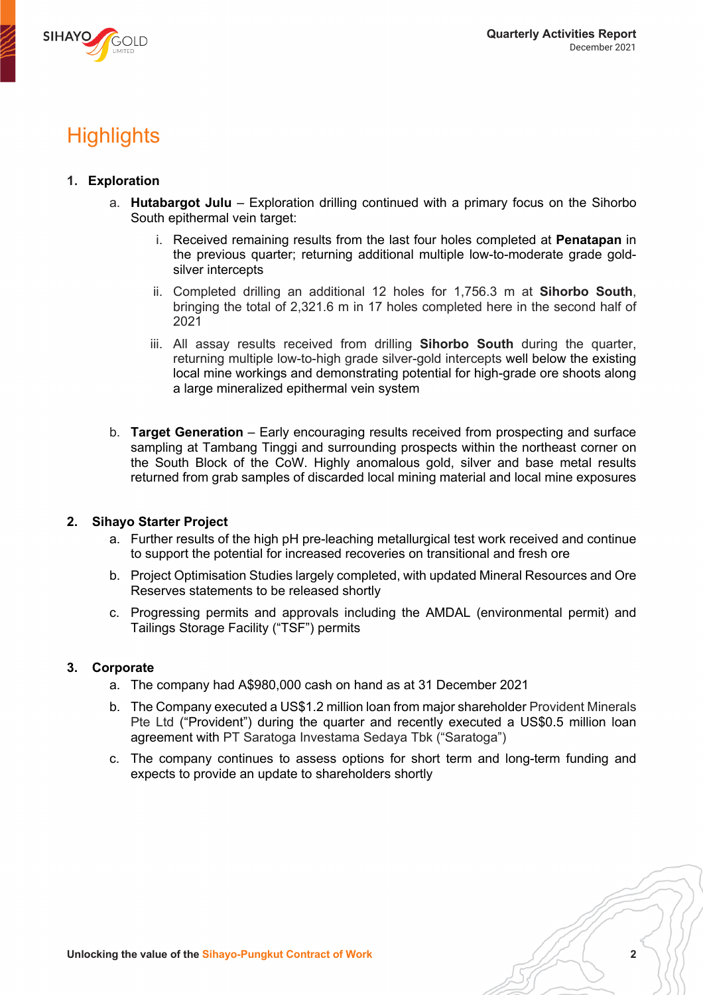

# **Highlights**

## **1. Exploration**

- a. **Hutabargot Julu** Exploration drilling continued with a primary focus on the Sihorbo South epithermal vein target:
	- i. Received remaining results from the last four holes completed at **Penatapan** in the previous quarter; returning additional multiple low-to-moderate grade goldsilver intercepts
	- ii. Completed drilling an additional 12 holes for 1,756.3 m at **Sihorbo South**, bringing the total of 2,321.6 m in 17 holes completed here in the second half of 2021
	- iii. All assay results received from drilling **Sihorbo South** during the quarter, returning multiple low-to-high grade silver-gold intercepts well below the existing local mine workings and demonstrating potential for high-grade ore shoots along a large mineralized epithermal vein system
- b. **Target Generation** Early encouraging results received from prospecting and surface sampling at Tambang Tinggi and surrounding prospects within the northeast corner on the South Block of the CoW. Highly anomalous gold, silver and base metal results returned from grab samples of discarded local mining material and local mine exposures

### **2. Sihayo Starter Project**

- a. Further results of the high pH pre-leaching metallurgical test work received and continue to support the potential for increased recoveries on transitional and fresh ore
- b. Project Optimisation Studies largely completed, with updated Mineral Resources and Ore Reserves statements to be released shortly
- c. Progressing permits and approvals including the AMDAL (environmental permit) and Tailings Storage Facility ("TSF") permits

## **3. Corporate**

- a. The company had A\$980,000 cash on hand as at 31 December 2021
- b. The Company executed a US\$1.2 million loan from major shareholder Provident Minerals Pte Ltd ("Provident") during the quarter and recently executed a US\$0.5 million loan agreement with PT Saratoga Investama Sedaya Tbk ("Saratoga")
- c. The company continues to assess options for short term and long-term funding and expects to provide an update to shareholders shortly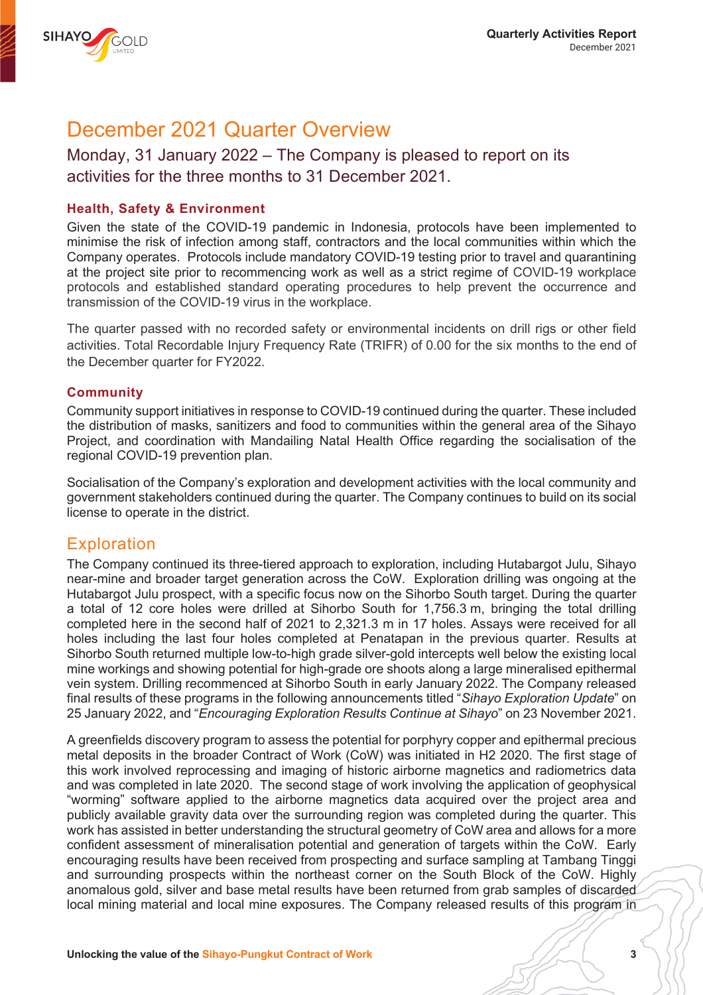

# December 2021 Quarter Overview

## Monday, 31 January 2022 – The Company is pleased to report on its activities for the three months to 31 December 2021.

## **Health, Safety & Environment**

Given the state of the COVID-19 pandemic in Indonesia, protocols have been implemented to minimise the risk of infection among staff, contractors and the local communities within which the Company operates. Protocols include mandatory COVID-19 testing prior to travel and quarantining at the project site prior to recommencing work as well as a strict regime of COVID-19 workplace protocols and established standard operating procedures to help prevent the occurrence and transmission of the COVID-19 virus in the workplace.

The quarter passed with no recorded safety or environmental incidents on drill rigs or other field activities. Total Recordable Injury Frequency Rate (TRIFR) of 0.00 for the six months to the end of the December quarter for FY2022.

### **Community**

Community support initiatives in response to COVID-19 continued during the quarter. These included the distribution of masks, sanitizers and food to communities within the general area of the Sihayo Project, and coordination with Mandailing Natal Health Office regarding the socialisation of the regional COVID-19 prevention plan.

Socialisation of the Company's exploration and development activities with the local community and government stakeholders continued during the quarter. The Company continues to build on its social license to operate in the district.

## **Exploration**

The Company continued its three-tiered approach to exploration, including Hutabargot Julu, Sihayo near-mine and broader target generation across the CoW. Exploration drilling was ongoing at the Hutabargot Julu prospect, with a specific focus now on the Sihorbo South target. During the quarter a total of 12 core holes were drilled at Sihorbo South for 1,756.3 m, bringing the total drilling completed here in the second half of 2021 to 2,321.3 m in 17 holes. Assays were received for all holes including the last four holes completed at Penatapan in the previous quarter. Results at Sihorbo South returned multiple low-to-high grade silver-gold intercepts well below the existing local mine workings and showing potential for high-grade ore shoots along a large mineralised epithermal vein system. Drilling recommenced at Sihorbo South in early January 2022. The Company released final results of these programs in the following announcements titled "*Sihayo Exploration Update*" on 25 January 2022, and "*Encouraging Exploration Results Continue at Sihayo*" on 23 November 2021.

A greenfields discovery program to assess the potential for porphyry copper and epithermal precious metal deposits in the broader Contract of Work (CoW) was initiated in H2 2020. The first stage of this work involved reprocessing and imaging of historic airborne magnetics and radiometrics data and was completed in late 2020. The second stage of work involving the application of geophysical "worming" software applied to the airborne magnetics data acquired over the project area and publicly available gravity data over the surrounding region was completed during the quarter. This work has assisted in better understanding the structural geometry of CoW area and allows for a more confident assessment of mineralisation potential and generation of targets within the CoW. Early encouraging results have been received from prospecting and surface sampling at Tambang Tinggi and surrounding prospects within the northeast corner on the South Block of the CoW. Highly anomalous gold, silver and base metal results have been returned from grab samples of discarded local mining material and local mine exposures. The Company released results of this program in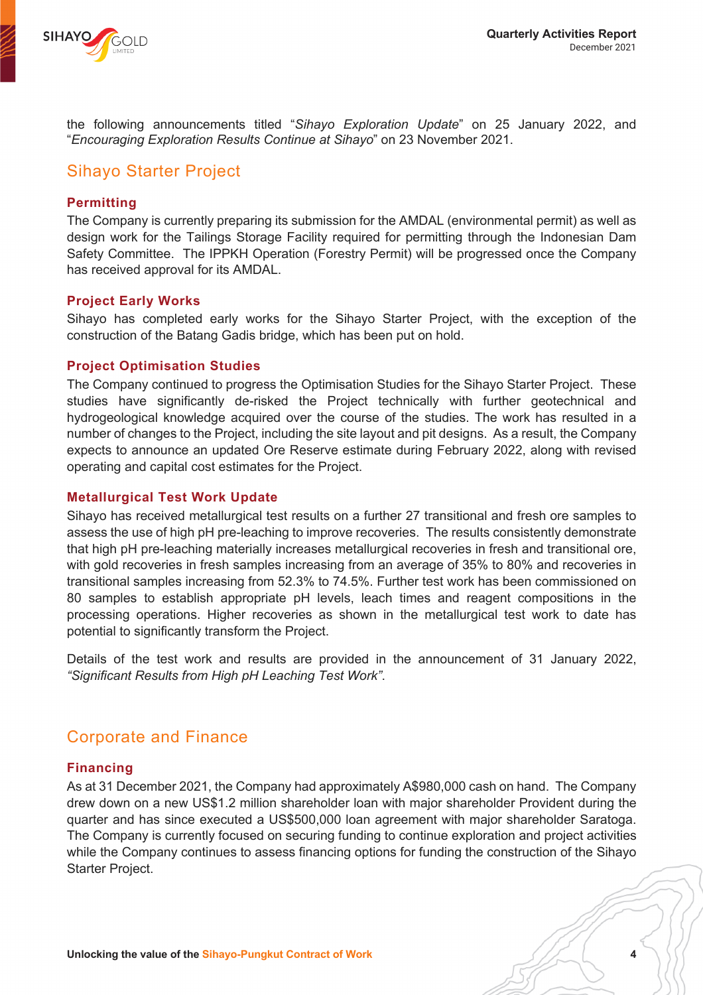

the following announcements titled "*Sihayo Exploration Update*" on 25 January 2022, and "*Encouraging Exploration Results Continue at Sihayo*" on 23 November 2021.

## Sihayo Starter Project

## **Permitting**

The Company is currently preparing its submission for the AMDAL (environmental permit) as well as design work for the Tailings Storage Facility required for permitting through the Indonesian Dam Safety Committee. The IPPKH Operation (Forestry Permit) will be progressed once the Company has received approval for its AMDAL.

### **Project Early Works**

Sihayo has completed early works for the Sihayo Starter Project, with the exception of the construction of the Batang Gadis bridge, which has been put on hold.

## **Project Optimisation Studies**

The Company continued to progress the Optimisation Studies for the Sihayo Starter Project. These studies have significantly de-risked the Project technically with further geotechnical and hydrogeological knowledge acquired over the course of the studies. The work has resulted in a number of changes to the Project, including the site layout and pit designs. As a result, the Company expects to announce an updated Ore Reserve estimate during February 2022, along with revised operating and capital cost estimates for the Project.

## **Metallurgical Test Work Update**

Sihayo has received metallurgical test results on a further 27 transitional and fresh ore samples to assess the use of high pH pre-leaching to improve recoveries. The results consistently demonstrate that high pH pre-leaching materially increases metallurgical recoveries in fresh and transitional ore, with gold recoveries in fresh samples increasing from an average of 35% to 80% and recoveries in transitional samples increasing from 52.3% to 74.5%. Further test work has been commissioned on 80 samples to establish appropriate pH levels, leach times and reagent compositions in the processing operations. Higher recoveries as shown in the metallurgical test work to date has potential to significantly transform the Project.

Details of the test work and results are provided in the announcement of 31 January 2022, *"Significant Results from High pH Leaching Test Work"*.

## Corporate and Finance

### **Financing**

As at 31 December 2021, the Company had approximately A\$980,000 cash on hand. The Company drew down on a new US\$1.2 million shareholder loan with major shareholder Provident during the quarter and has since executed a US\$500,000 loan agreement with major shareholder Saratoga. The Company is currently focused on securing funding to continue exploration and project activities while the Company continues to assess financing options for funding the construction of the Sihayo Starter Project.